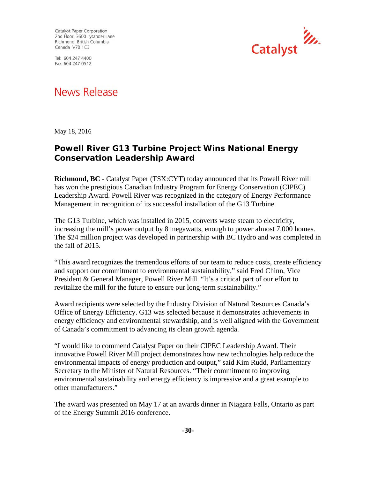Catalyst Paper Corporation 2nd Floor, 3600 Lysander Lane Richmond, British Columbia Canada V7B 1C3

Tel: 604 247 4400 Fax: 604 247 0512



## News Release

May 18, 2016

## **Powell River G13 Turbine Project Wins National Energy Conservation Leadership Award**

**Richmond, BC** - Catalyst Paper (TSX:CYT) today announced that its Powell River mill has won the prestigious Canadian Industry Program for Energy Conservation (CIPEC) Leadership Award. Powell River was recognized in the category of Energy Performance Management in recognition of its successful installation of the G13 Turbine.

The G13 Turbine, which was installed in 2015, converts waste steam to electricity, increasing the mill's power output by 8 megawatts, enough to power almost 7,000 homes. The \$24 million project was developed in partnership with BC Hydro and was completed in the fall of 2015.

"This award recognizes the tremendous efforts of our team to reduce costs, create efficiency and support our commitment to environmental sustainability," said Fred Chinn, Vice President & General Manager, Powell River Mill. "It's a critical part of our effort to revitalize the mill for the future to ensure our long-term sustainability."

Award recipients were selected by the Industry Division of Natural Resources Canada's Office of Energy Efficiency. G13 was selected because it demonstrates achievements in energy efficiency and environmental stewardship, and is well aligned with the Government of Canada's commitment to advancing its clean growth agenda.

"I would like to commend Catalyst Paper on their CIPEC Leadership Award. Their innovative Powell River Mill project demonstrates how new technologies help reduce the environmental impacts of energy production and output," said Kim Rudd, Parliamentary Secretary to the Minister of Natural Resources. "Their commitment to improving environmental sustainability and energy efficiency is impressive and a great example to other manufacturers."

The award was presented on May 17 at an awards dinner in Niagara Falls, Ontario as part of the Energy Summit 2016 conference.